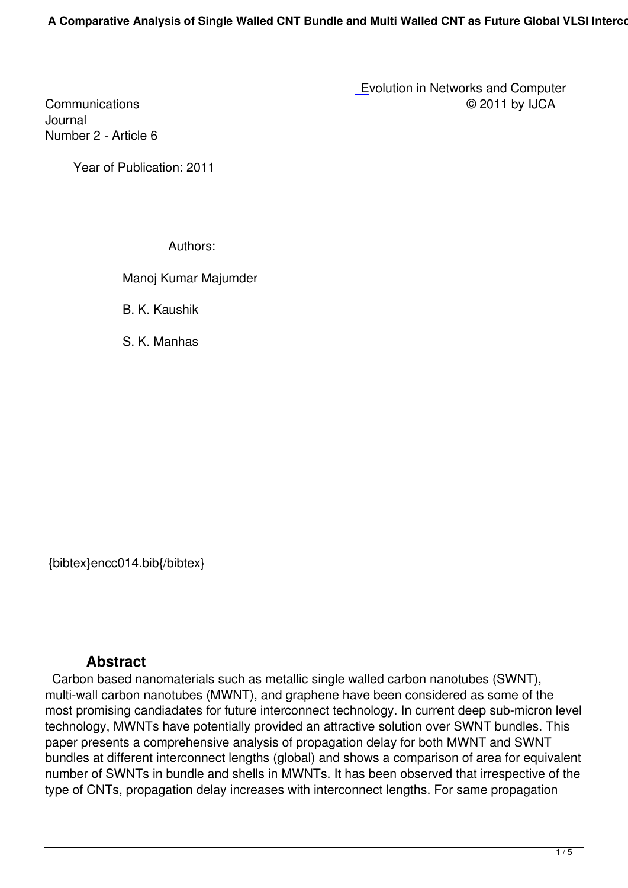Journal [Numbe](http://research.ijcaonline.org/encc/number2/encc014.pdf)r 2 - Article 6

Year of Publication: 2011

Authors:

Manoj Kumar Majumder

B. K. Kaushik

S. K. Manhas

{bibtex}encc014.bib{/bibtex}

## **Abstract**

 Carbon based nanomaterials such as metallic single walled carbon nanotubes (SWNT), multi-wall carbon nanotubes (MWNT), and graphene have been considered as some of the most promising candiadates for future interconnect technology. In current deep sub-micron level technology, MWNTs have potentially provided an attractive solution over SWNT bundles. This paper presents a comprehensive analysis of propagation delay for both MWNT and SWNT bundles at different interconnect lengths (global) and shows a comparison of area for equivalent number of SWNTs in bundle and shells in MWNTs. It has been observed that irrespective of the type of CNTs, propagation delay increases with interconnect lengths. For same propagation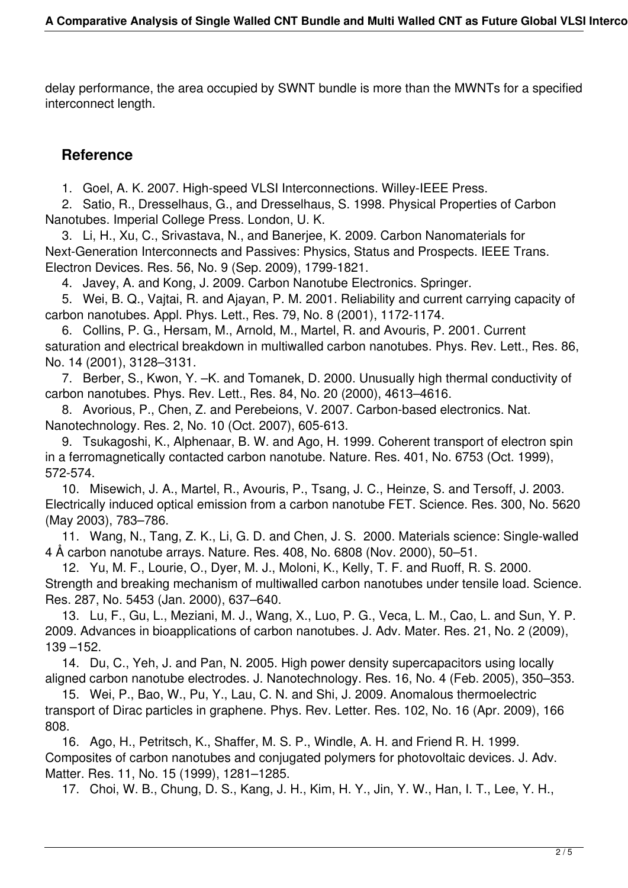delay performance, the area occupied by SWNT bundle is more than the MWNTs for a specified interconnect length.

## **Reference**

1. Goel, A. K. 2007. High-speed VLSI Interconnections. Willey-IEEE Press.

 2. Satio, R., Dresselhaus, G., and Dresselhaus, S. 1998. Physical Properties of Carbon Nanotubes. Imperial College Press. London, U. K.

 3. Li, H., Xu, C., Srivastava, N., and Banerjee, K. 2009. Carbon Nanomaterials for Next-Generation Interconnects and Passives: Physics, Status and Prospects. IEEE Trans. Electron Devices. Res. 56, No. 9 (Sep. 2009), 1799-1821.

4. Javey, A. and Kong, J. 2009. Carbon Nanotube Electronics. Springer.

 5. Wei, B. Q., Vajtai, R. and Ajayan, P. M. 2001. Reliability and current carrying capacity of carbon nanotubes. Appl. Phys. Lett., Res. 79, No. 8 (2001), 1172-1174.

 6. Collins, P. G., Hersam, M., Arnold, M., Martel, R. and Avouris, P. 2001. Current saturation and electrical breakdown in multiwalled carbon nanotubes. Phys. Rev. Lett., Res. 86, No. 14 (2001), 3128–3131.

 7. Berber, S., Kwon, Y. –K. and Tomanek, D. 2000. Unusually high thermal conductivity of carbon nanotubes. Phys. Rev. Lett., Res. 84, No. 20 (2000), 4613–4616.

 8. Avorious, P., Chen, Z. and Perebeions, V. 2007. Carbon-based electronics. Nat. Nanotechnology. Res. 2, No. 10 (Oct. 2007), 605-613.

 9. Tsukagoshi, K., Alphenaar, B. W. and Ago, H. 1999. Coherent transport of electron spin in a ferromagnetically contacted carbon nanotube. Nature. Res. 401, No. 6753 (Oct. 1999), 572-574.

 10. Misewich, J. A., Martel, R., Avouris, P., Tsang, J. C., Heinze, S. and Tersoff, J. 2003. Electrically induced optical emission from a carbon nanotube FET. Science. Res. 300, No. 5620 (May 2003), 783–786.

 11. Wang, N., Tang, Z. K., Li, G. D. and Chen, J. S. 2000. Materials science: Single-walled 4 Å carbon nanotube arrays. Nature. Res. 408, No. 6808 (Nov. 2000), 50–51.

 12. Yu, M. F., Lourie, O., Dyer, M. J., Moloni, K., Kelly, T. F. and Ruoff, R. S. 2000. Strength and breaking mechanism of multiwalled carbon nanotubes under tensile load. Science. Res. 287, No. 5453 (Jan. 2000), 637–640.

 13. Lu, F., Gu, L., Meziani, M. J., Wang, X., Luo, P. G., Veca, L. M., Cao, L. and Sun, Y. P. 2009. Advances in bioapplications of carbon nanotubes. J. Adv. Mater. Res. 21, No. 2 (2009), 139 –152.

 14. Du, C., Yeh, J. and Pan, N. 2005. High power density supercapacitors using locally aligned carbon nanotube electrodes. J. Nanotechnology. Res. 16, No. 4 (Feb. 2005), 350–353.

 15. Wei, P., Bao, W., Pu, Y., Lau, C. N. and Shi, J. 2009. Anomalous thermoelectric transport of Dirac particles in graphene. Phys. Rev. Letter. Res. 102, No. 16 (Apr. 2009), 166 808.

 16. Ago, H., Petritsch, K., Shaffer, M. S. P., Windle, A. H. and Friend R. H. 1999. Composites of carbon nanotubes and conjugated polymers for photovoltaic devices. J. Adv. Matter. Res. 11, No. 15 (1999), 1281–1285.

17. Choi, W. B., Chung, D. S., Kang, J. H., Kim, H. Y., Jin, Y. W., Han, I. T., Lee, Y. H.,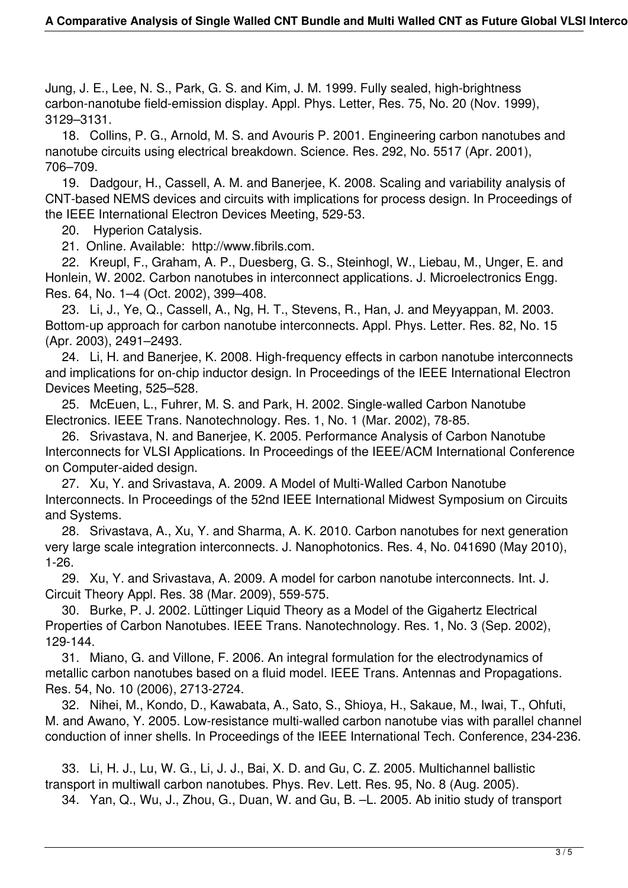Jung, J. E., Lee, N. S., Park, G. S. and Kim, J. M. 1999. Fully sealed, high-brightness carbon-nanotube field-emission display. Appl. Phys. Letter, Res. 75, No. 20 (Nov. 1999), 3129–3131.

 18. Collins, P. G., Arnold, M. S. and Avouris P. 2001. Engineering carbon nanotubes and nanotube circuits using electrical breakdown. Science. Res. 292, No. 5517 (Apr. 2001), 706–709.

 19. Dadgour, H., Cassell, A. M. and Banerjee, K. 2008. Scaling and variability analysis of CNT-based NEMS devices and circuits with implications for process design. In Proceedings of the IEEE International Electron Devices Meeting, 529-53.

20. Hyperion Catalysis.

21. Online. Available: http://www.fibrils.com.

 22. Kreupl, F., Graham, A. P., Duesberg, G. S., Steinhogl, W., Liebau, M., Unger, E. and Honlein, W. 2002. Carbon nanotubes in interconnect applications. J. Microelectronics Engg. Res. 64, No. 1–4 (Oct. 2002), 399–408.

 23. Li, J., Ye, Q., Cassell, A., Ng, H. T., Stevens, R., Han, J. and Meyyappan, M. 2003. Bottom-up approach for carbon nanotube interconnects. Appl. Phys. Letter. Res. 82, No. 15 (Apr. 2003), 2491–2493.

 24. Li, H. and Banerjee, K. 2008. High-frequency effects in carbon nanotube interconnects and implications for on-chip inductor design. In Proceedings of the IEEE International Electron Devices Meeting, 525–528.

 25. McEuen, L., Fuhrer, M. S. and Park, H. 2002. Single-walled Carbon Nanotube Electronics. IEEE Trans. Nanotechnology. Res. 1, No. 1 (Mar. 2002), 78-85.

 26. Srivastava, N. and Banerjee, K. 2005. Performance Analysis of Carbon Nanotube Interconnects for VLSI Applications. In Proceedings of the IEEE/ACM International Conference on Computer-aided design.

 27. Xu, Y. and Srivastava, A. 2009. A Model of Multi-Walled Carbon Nanotube Interconnects. In Proceedings of the 52nd IEEE International Midwest Symposium on Circuits and Systems.

 28. Srivastava, A., Xu, Y. and Sharma, A. K. 2010. Carbon nanotubes for next generation very large scale integration interconnects. J. Nanophotonics. Res. 4, No. 041690 (May 2010), 1-26.

 29. Xu, Y. and Srivastava, A. 2009. A model for carbon nanotube interconnects. Int. J. Circuit Theory Appl. Res. 38 (Mar. 2009), 559-575.

 30. Burke, P. J. 2002. Lüttinger Liquid Theory as a Model of the Gigahertz Electrical Properties of Carbon Nanotubes. IEEE Trans. Nanotechnology. Res. 1, No. 3 (Sep. 2002), 129-144.

 31. Miano, G. and Villone, F. 2006. An integral formulation for the electrodynamics of metallic carbon nanotubes based on a fluid model. IEEE Trans. Antennas and Propagations. Res. 54, No. 10 (2006), 2713-2724.

 32. Nihei, M., Kondo, D., Kawabata, A., Sato, S., Shioya, H., Sakaue, M., Iwai, T., Ohfuti, M. and Awano, Y. 2005. Low-resistance multi-walled carbon nanotube vias with parallel channel conduction of inner shells. In Proceedings of the IEEE International Tech. Conference, 234-236.

 33. Li, H. J., Lu, W. G., Li, J. J., Bai, X. D. and Gu, C. Z. 2005. Multichannel ballistic transport in multiwall carbon nanotubes. Phys. Rev. Lett. Res. 95, No. 8 (Aug. 2005).

34. Yan, Q., Wu, J., Zhou, G., Duan, W. and Gu, B. –L. 2005. Ab initio study of transport